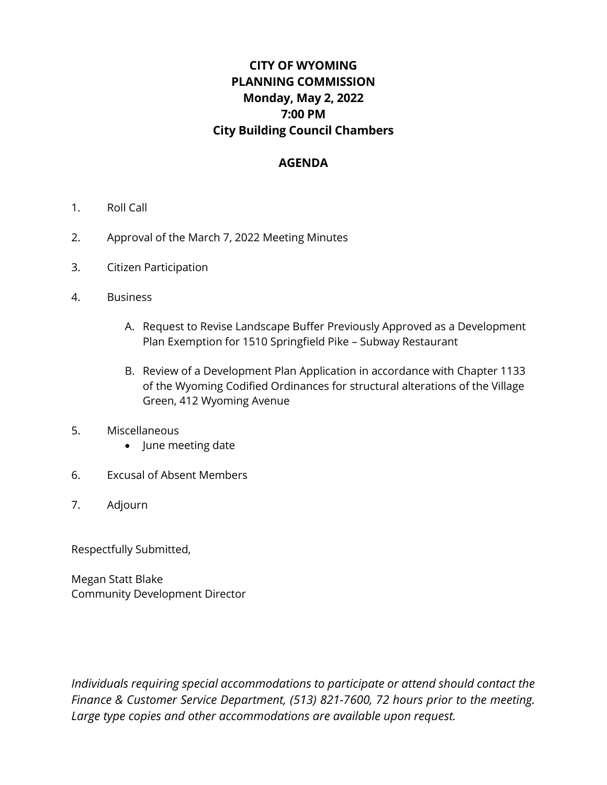# **CITY OF WYOMING PLANNING COMMISSION Monday, May 2, 2022 7:00 PM City Building Council Chambers**

#### **AGENDA**

- 1. Roll Call
- 2. Approval of the March 7, 2022 Meeting Minutes
- 3. Citizen Participation
- 4. Business
	- A. Request to Revise Landscape Buffer Previously Approved as a Development Plan Exemption for 1510 Springfield Pike – Subway Restaurant
	- B. Review of a Development Plan Application in accordance with Chapter 1133 of the Wyoming Codified Ordinances for structural alterations of the Village Green, 412 Wyoming Avenue
- 5. Miscellaneous
	- June meeting date
- 6. Excusal of Absent Members
- 7. Adjourn

Respectfully Submitted,

Megan Statt Blake Community Development Director

*Individuals requiring special accommodations to participate or attend should contact the Finance & Customer Service Department, (513) 821-7600, 72 hours prior to the meeting. Large type copies and other accommodations are available upon request.*